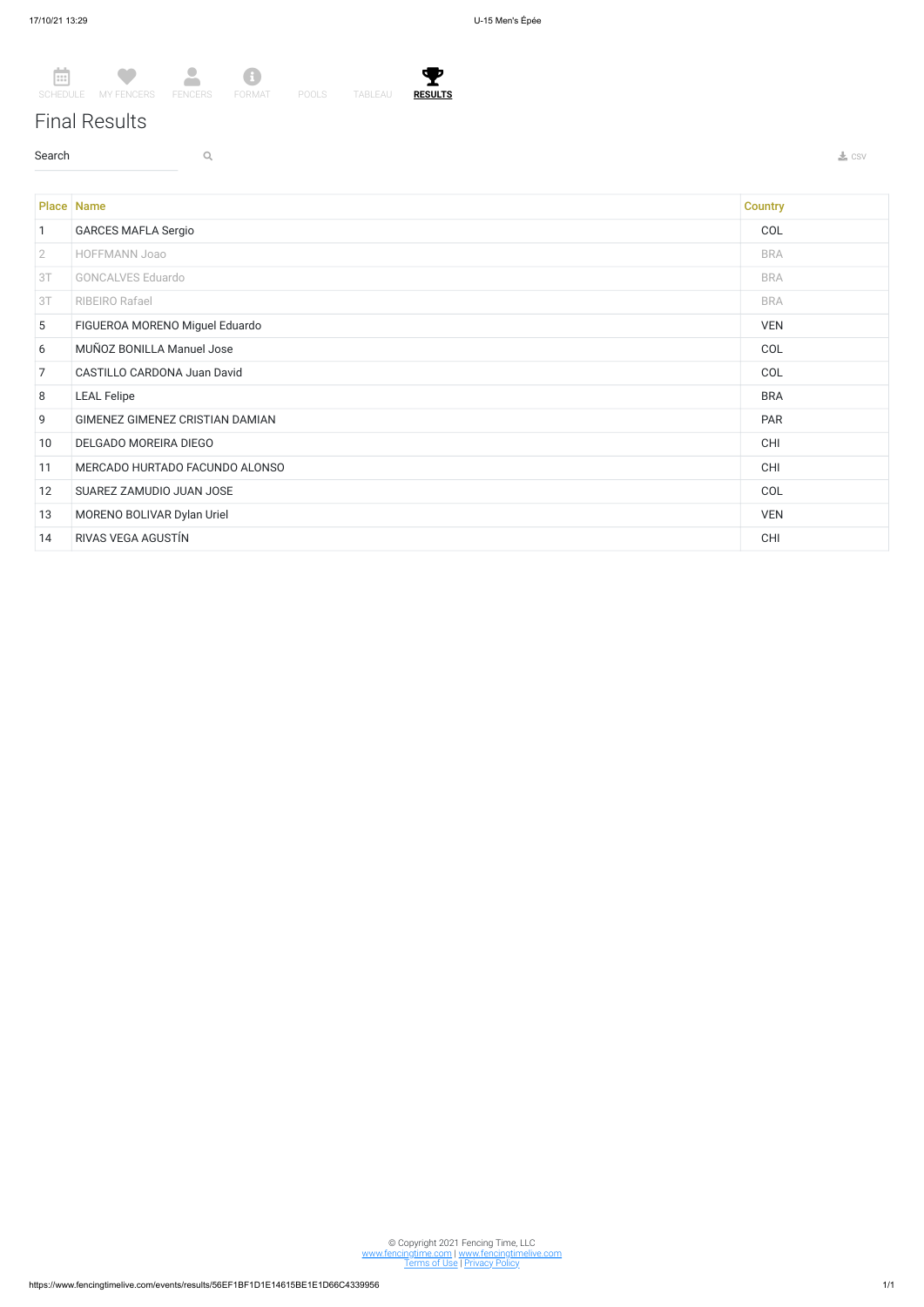## Final Results

 $\sim$  Search  $\sim$  Q. The contract of the contract of the contract of the contract of the contract of the contract of the contract of the contract of the contract of the contract of the contract of the contract of the contr



© Copyright 2021 Fencing Time, LLC www.fencingtime.com | www.fencingtimelive.com <u>Terms of Use | Privacy Policy</u>

|                | <b>Place Name</b>               | <b>Country</b> |
|----------------|---------------------------------|----------------|
| $\mathbf{1}$   | <b>GARCES MAFLA Sergio</b>      | COL            |
| $\overline{2}$ | HOFFMANN Joao                   | <b>BRA</b>     |
| 3T             | <b>GONCALVES Eduardo</b>        | <b>BRA</b>     |
| 3T             | RIBEIRO Rafael                  | <b>BRA</b>     |
| 5              | FIGUEROA MORENO Miguel Eduardo  | <b>VEN</b>     |
| 6              | MUÑOZ BONILLA Manuel Jose       | COL            |
| $\overline{7}$ | CASTILLO CARDONA Juan David     | COL            |
| 8              | <b>LEAL Felipe</b>              | <b>BRA</b>     |
| 9              | GIMENEZ GIMENEZ CRISTIAN DAMIAN | PAR            |
| 10             | DELGADO MOREIRA DIEGO           | <b>CHI</b>     |
| 11             | MERCADO HURTADO FACUNDO ALONSO  | CHI            |
| 12             | SUAREZ ZAMUDIO JUAN JOSE        | COL            |
| 13             | MORENO BOLIVAR Dylan Uriel      | <b>VEN</b>     |
| 14             | RIVAS VEGA AGUSTÍN              | <b>CHI</b>     |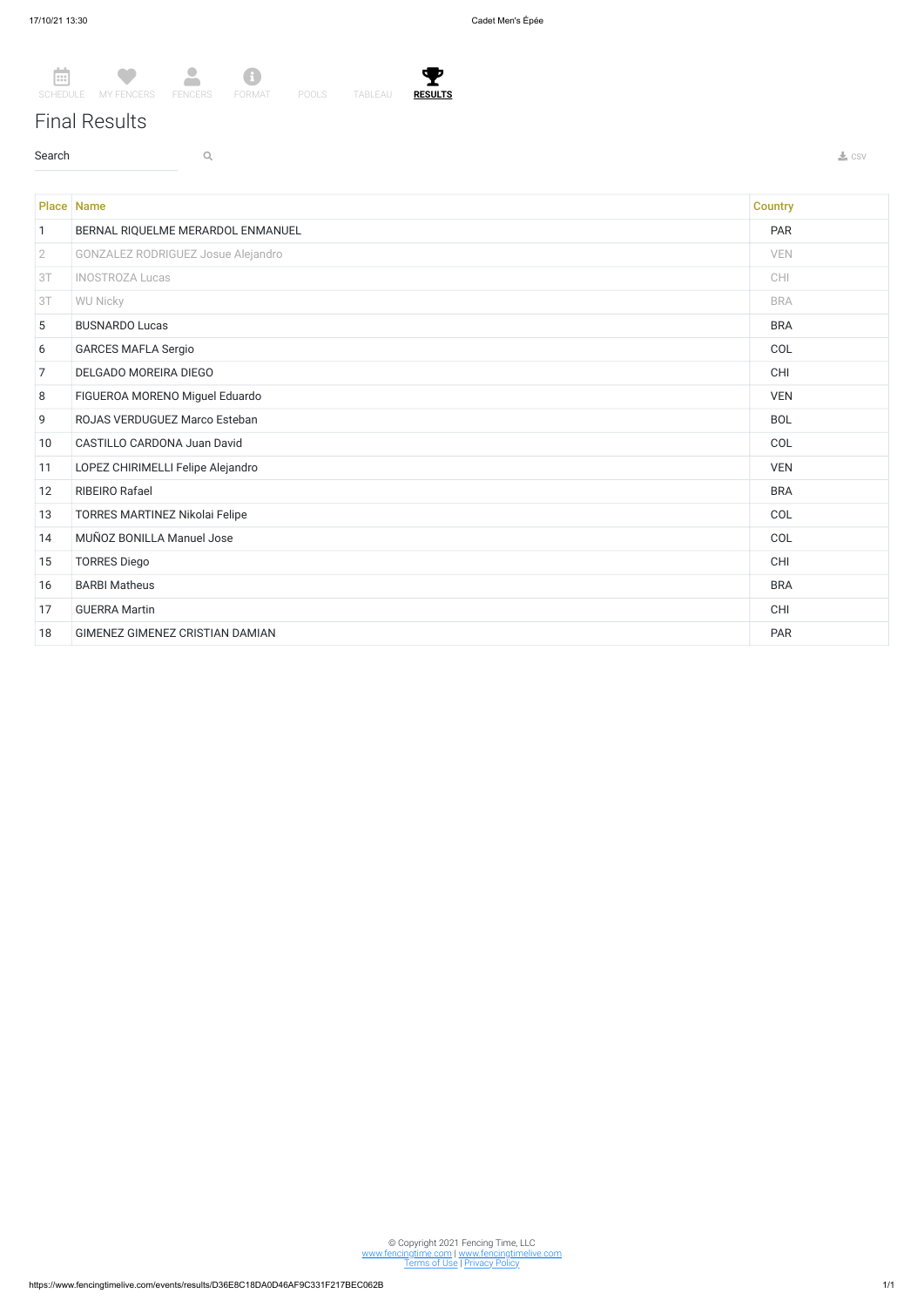曲 SCHEDULE MY FENCERS FENCERS FORMAT POOLS TABLEAU œ  $\Delta$ 8



Ÿ. **RESULTS**

## Final Results

 $\sim$  Search  $\sim$  Q. The contract of the contract of the contract of the contract of the contract of the contract of the contract of the contract of the contract of the contract of the contract of the contract of the contr

Place Name **Country Country Country (2008)** 1 BERNAL RIQUELME MERARDOL ENMANUEL **PAR** 2 GONZALEZ RODRIGUEZ Josue Alejandro VEN 3T INOSTROZA Lucas CHI 3T WU Nicky BRA Products and the second second second second second second second second second second second second second second second second second second second second second second second second second second second 5 BUSNARDO Lucas BRA 6 GARCES MAFLA Sergio COL 7 DELGADO MOREIRA DIEGO CHI 8 FIGUEROA MORENO Miguel Eduardo VEN 9 ROJAS VERDUGUEZ Marco Esteban BOL 10 CASTILLO CARDONA Juan David COL 11 LOPEZ CHIRIMELLI Felipe Alejandro VEN 12 RIBEIRO Rafael BRA 13 TORRES MARTINEZ Nikolai Felipe COL 14 MUÑOZ BONILLA Manuel Jose COL 15 TORRES Diego CHI 16 BARBI Matheus BRA 17 GUERRA Martin CHI 18 GIMENEZ GIMENEZ CRISTIAN DAMIAN **PAR** 

© Copyright 2021 Fencing Time, LLC www.fencingtime.com | www.fencingtimelive.com <u>Terms of Use | Privacy Policy</u>